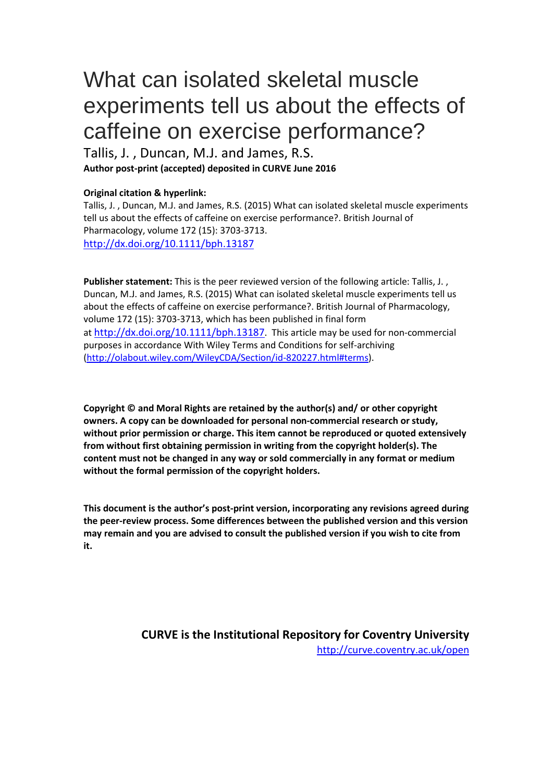# What can isolated skeletal muscle experiments tell us about the effects of caffeine on exercise performance?

Tallis, J. , Duncan, M.J. and James, R.S. **Author post-print (accepted) deposited in CURVE June 2016**

#### **Original citation & hyperlink:**

Tallis, J. , Duncan, M.J. and James, R.S. (2015) What can isolated skeletal muscle experiments tell us about the effects of caffeine on exercise performance?. British Journal of Pharmacology, volume 172 (15): 3703-3713. <http://dx.doi.org/10.1111/bph.13187>

**Publisher statement:** This is the peer reviewed version of the following article: Tallis, J. , Duncan, M.J. and James, R.S. (2015) What can isolated skeletal muscle experiments tell us about the effects of caffeine on exercise performance?. British Journal of Pharmacology, volume 172 (15): 3703-3713, which has been published in final form at [http://dx.doi.org/10.1111/bph.13187.](http://dx.doi.org/10.1111/bph.13187) This article may be used for non-commercial purposes in accordance With Wiley Terms and Conditions for self-archiving [\(http://olabout.wiley.com/WileyCDA/Section/id-820227.html#terms\)](http://olabout.wiley.com/WileyCDA/Section/id-820227.html#terms).

**Copyright © and Moral Rights are retained by the author(s) and/ or other copyright owners. A copy can be downloaded for personal non-commercial research or study, without prior permission or charge. This item cannot be reproduced or quoted extensively from without first obtaining permission in writing from the copyright holder(s). The content must not be changed in any way or sold commercially in any format or medium without the formal permission of the copyright holders.** 

**This document is the author's post-print version, incorporating any revisions agreed during the peer-review process. Some differences between the published version and this version may remain and you are advised to consult the published version if you wish to cite from it.** 

> **CURVE is the Institutional Repository for Coventry University** <http://curve.coventry.ac.uk/open>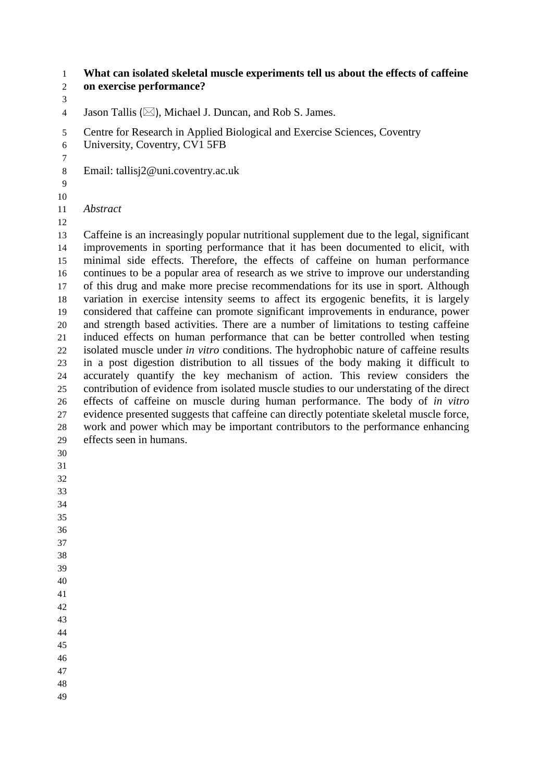**What can isolated skeletal muscle experiments tell us about the effects of caffeine on exercise performance?**

4 Jason Tallis ( $\boxtimes$ ), Michael J. Duncan, and Rob S. James.

Centre for Research in Applied Biological and Exercise Sciences, Coventry

- University, Coventry, CV1 5FB
- Email: tallisj2@uni.coventry.ac.uk
- 

*Abstract*

 Caffeine is an increasingly popular nutritional supplement due to the legal, significant improvements in sporting performance that it has been documented to elicit, with minimal side effects. Therefore, the effects of caffeine on human performance continues to be a popular area of research as we strive to improve our understanding of this drug and make more precise recommendations for its use in sport. Although variation in exercise intensity seems to affect its ergogenic benefits, it is largely considered that caffeine can promote significant improvements in endurance, power and strength based activities. There are a number of limitations to testing caffeine induced effects on human performance that can be better controlled when testing isolated muscle under *in vitro* conditions. The hydrophobic nature of caffeine results in a post digestion distribution to all tissues of the body making it difficult to accurately quantify the key mechanism of action. This review considers the contribution of evidence from isolated muscle studies to our understating of the direct effects of caffeine on muscle during human performance. The body of *in vitro* evidence presented suggests that caffeine can directly potentiate skeletal muscle force, work and power which may be important contributors to the performance enhancing effects seen in humans.

- 
-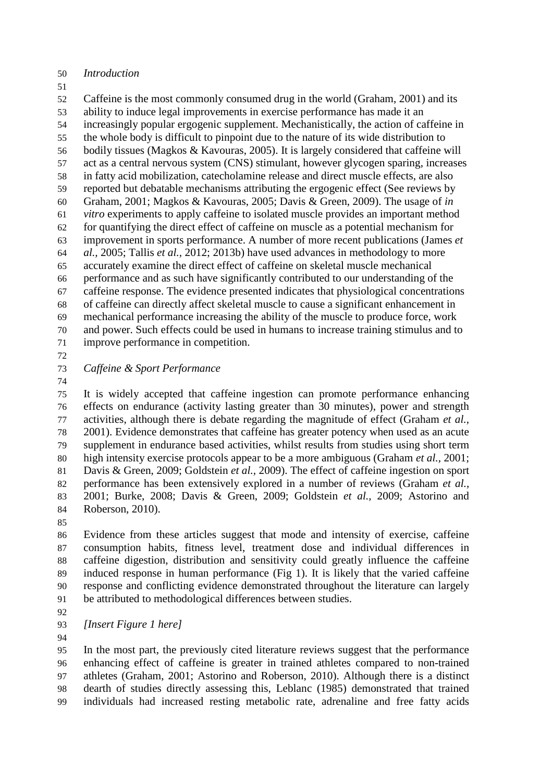- *Introduction*
- 

 Caffeine is the most commonly consumed drug in the world (Graham, 2001) and its ability to induce legal improvements in exercise performance has made it an increasingly popular ergogenic supplement. Mechanistically, the action of caffeine in the whole body is difficult to pinpoint due to the nature of its wide distribution to bodily tissues (Magkos & Kavouras, 2005). It is largely considered that caffeine will act as a central nervous system (CNS) stimulant, however glycogen sparing, increases in fatty acid mobilization, catecholamine release and direct muscle effects, are also reported but debatable mechanisms attributing the ergogenic effect (See reviews by Graham, 2001; Magkos & Kavouras, 2005; Davis & Green, 2009). The usage of *in vitro* experiments to apply caffeine to isolated muscle provides an important method for quantifying the direct effect of caffeine on muscle as a potential mechanism for improvement in sports performance. A number of more recent publications (James *et al.,* 2005; Tallis *et al.,* 2012; 2013b) have used advances in methodology to more accurately examine the direct effect of caffeine on skeletal muscle mechanical performance and as such have significantly contributed to our understanding of the caffeine response. The evidence presented indicates that physiological concentrations of caffeine can directly affect skeletal muscle to cause a significant enhancement in mechanical performance increasing the ability of the muscle to produce force, work and power. Such effects could be used in humans to increase training stimulus and to improve performance in competition.

*Caffeine & Sport Performance*

 It is widely accepted that caffeine ingestion can promote performance enhancing effects on endurance (activity lasting greater than 30 minutes), power and strength activities, although there is debate regarding the magnitude of effect (Graham *et al.,* 2001). Evidence demonstrates that caffeine has greater potency when used as an acute supplement in endurance based activities, whilst results from studies using short term high intensity exercise protocols appear to be a more ambiguous (Graham *et al.,* 2001; Davis & Green, 2009; Goldstein *et al.,* 2009). The effect of caffeine ingestion on sport performance has been extensively explored in a number of reviews (Graham *et al.,* 2001; Burke, 2008; Davis & Green, 2009; Goldstein *et al.,* 2009; Astorino and Roberson, 2010).

 Evidence from these articles suggest that mode and intensity of exercise, caffeine consumption habits, fitness level, treatment dose and individual differences in caffeine digestion, distribution and sensitivity could greatly influence the caffeine induced response in human performance (Fig 1). It is likely that the varied caffeine response and conflicting evidence demonstrated throughout the literature can largely be attributed to methodological differences between studies.

*[Insert Figure 1 here]*

 In the most part, the previously cited literature reviews suggest that the performance enhancing effect of caffeine is greater in trained athletes compared to non-trained athletes (Graham, 2001; Astorino and Roberson, 2010). Although there is a distinct dearth of studies directly assessing this, Leblanc (1985) demonstrated that trained individuals had increased resting metabolic rate, adrenaline and free fatty acids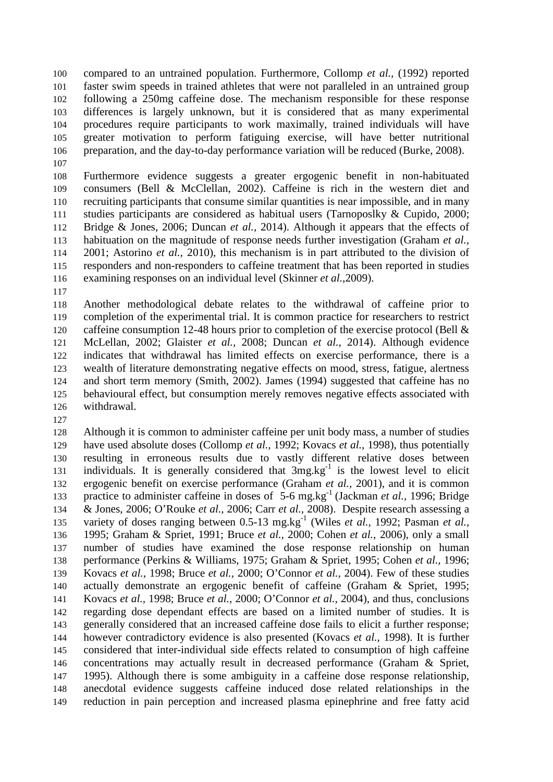compared to an untrained population. Furthermore, Collomp *et al.,* (1992) reported faster swim speeds in trained athletes that were not paralleled in an untrained group following a 250mg caffeine dose. The mechanism responsible for these response differences is largely unknown, but it is considered that as many experimental procedures require participants to work maximally, trained individuals will have greater motivation to perform fatiguing exercise, will have better nutritional preparation, and the day-to-day performance variation will be reduced (Burke, 2008).

 Furthermore evidence suggests a greater ergogenic benefit in non-habituated consumers (Bell & McClellan, 2002). Caffeine is rich in the western diet and recruiting participants that consume similar quantities is near impossible, and in many studies participants are considered as habitual users (Tarnoposlky & Cupido, 2000; Bridge & Jones, 2006; Duncan *et al.,* 2014). Although it appears that the effects of habituation on the magnitude of response needs further investigation (Graham *et al.,* 2001; Astorino *et al.,* 2010), this mechanism is in part attributed to the division of responders and non-responders to caffeine treatment that has been reported in studies examining responses on an individual level (Skinner *et al.,*2009).

 Another methodological debate relates to the withdrawal of caffeine prior to completion of the experimental trial. It is common practice for researchers to restrict 120 caffeine consumption 12-48 hours prior to completion of the exercise protocol (Bell & McLellan, 2002; Glaister *et al.,* 2008; Duncan *et al.,* 2014). Although evidence indicates that withdrawal has limited effects on exercise performance, there is a wealth of literature demonstrating negative effects on mood, stress, fatigue, alertness and short term memory (Smith, 2002). James (1994) suggested that caffeine has no behavioural effect, but consumption merely removes negative effects associated with withdrawal.

 Although it is common to administer caffeine per unit body mass, a number of studies have used absolute doses (Collomp *et al.,* 1992; Kovacs *et al.,* 1998), thus potentially resulting in erroneous results due to vastly different relative doses between 131 individuals. It is generally considered that  $3mg \log^{-1}$  is the lowest level to elicit ergogenic benefit on exercise performance (Graham *et al.,* 2001), and it is common 133 practice to administer caffeine in doses of 5-6 mg.kg<sup>-1</sup> (Jackman *et al.*, 1996; Bridge & Jones, 2006; O'Rouke *et al.,* 2006; Carr *et al.,* 2008). Despite research assessing a variety of doses ranging between 0.5-13 mg.kg<sup>-1</sup> (Wiles *et al.,* 1992; Pasman *et al.,*  1995; Graham & Spriet, 1991; Bruce *et al.,* 2000; Cohen *et al.,* 2006), only a small number of studies have examined the dose response relationship on human performance (Perkins & Williams, 1975; Graham & Spriet, 1995; Cohen *et al.,* 1996; Kovacs *et al.,* 1998; Bruce *et al.,* 2000; O'Connor *et al.,* 2004). Few of these studies actually demonstrate an ergogenic benefit of caffeine (Graham & Spriet, 1995; Kovacs *et al.,* 1998; Bruce *et al.,* 2000; O'Connor *et al.,* 2004), and thus, conclusions regarding dose dependant effects are based on a limited number of studies. It is generally considered that an increased caffeine dose fails to elicit a further response; however contradictory evidence is also presented (Kovacs *et al.,* 1998). It is further considered that inter-individual side effects related to consumption of high caffeine concentrations may actually result in decreased performance (Graham & Spriet, 1995). Although there is some ambiguity in a caffeine dose response relationship, anecdotal evidence suggests caffeine induced dose related relationships in the reduction in pain perception and increased plasma epinephrine and free fatty acid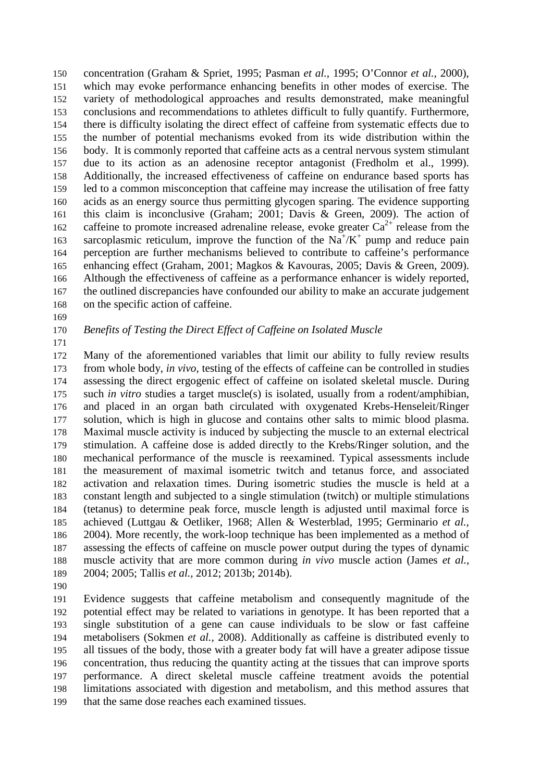concentration (Graham & Spriet, 1995; Pasman *et al.,* 1995; O'Connor *et al.,* 2000), which may evoke performance enhancing benefits in other modes of exercise. The variety of methodological approaches and results demonstrated, make meaningful conclusions and recommendations to athletes difficult to fully quantify. Furthermore, there is difficulty isolating the direct effect of caffeine from systematic effects due to the number of potential mechanisms evoked from its wide distribution within the body. It is commonly reported that caffeine acts as a central nervous system stimulant due to its action as an adenosine receptor antagonist (Fredholm et al., 1999). Additionally, the increased effectiveness of caffeine on endurance based sports has led to a common misconception that caffeine may increase the utilisation of free fatty acids as an energy source thus permitting glycogen sparing. The evidence supporting this claim is inconclusive (Graham; 2001; Davis & Green, 2009). The action of 162 caffeine to promote increased adrenaline release, evoke greater  $Ca^{2+}$  release from the 163 sarcoplasmic reticulum, improve the function of the  $Na^+/K^+$  pump and reduce pain perception are further mechanisms believed to contribute to caffeine's performance enhancing effect (Graham, 2001; Magkos & Kavouras, 2005; Davis & Green, 2009). Although the effectiveness of caffeine as a performance enhancer is widely reported, the outlined discrepancies have confounded our ability to make an accurate judgement on the specific action of caffeine.

## *Benefits of Testing the Direct Effect of Caffeine on Isolated Muscle*

 Many of the aforementioned variables that limit our ability to fully review results from whole body, *in vivo*, testing of the effects of caffeine can be controlled in studies assessing the direct ergogenic effect of caffeine on isolated skeletal muscle. During such *in vitro* studies a target muscle(s) is isolated, usually from a rodent/amphibian, and placed in an organ bath circulated with oxygenated Krebs-Henseleit/Ringer solution, which is high in glucose and contains other salts to mimic blood plasma. Maximal muscle activity is induced by subjecting the muscle to an external electrical stimulation. A caffeine dose is added directly to the Krebs/Ringer solution, and the mechanical performance of the muscle is reexamined. Typical assessments include the measurement of maximal isometric twitch and tetanus force, and associated activation and relaxation times. During isometric studies the muscle is held at a constant length and subjected to a single stimulation (twitch) or multiple stimulations (tetanus) to determine peak force, muscle length is adjusted until maximal force is achieved (Luttgau & Oetliker, 1968; Allen & Westerblad, 1995; Germinario *et al.,*  2004). More recently, the work-loop technique has been implemented as a method of assessing the effects of caffeine on muscle power output during the types of dynamic muscle activity that are more common during *in vivo* muscle action (James *et al.,* 2004; 2005; Tallis *et al.,* 2012; 2013b; 2014b).

 Evidence suggests that caffeine metabolism and consequently magnitude of the potential effect may be related to variations in genotype. It has been reported that a single substitution of a gene can cause individuals to be slow or fast caffeine metabolisers (Sokmen *et al.,* 2008). Additionally as caffeine is distributed evenly to all tissues of the body, those with a greater body fat will have a greater adipose tissue concentration, thus reducing the quantity acting at the tissues that can improve sports performance. A direct skeletal muscle caffeine treatment avoids the potential limitations associated with digestion and metabolism, and this method assures that that the same dose reaches each examined tissues.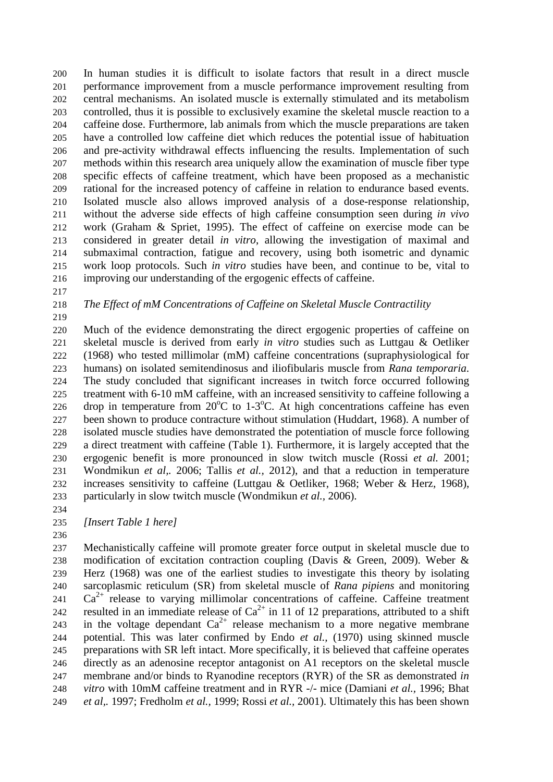In human studies it is difficult to isolate factors that result in a direct muscle performance improvement from a muscle performance improvement resulting from central mechanisms. An isolated muscle is externally stimulated and its metabolism controlled, thus it is possible to exclusively examine the skeletal muscle reaction to a caffeine dose. Furthermore, lab animals from which the muscle preparations are taken have a controlled low caffeine diet which reduces the potential issue of habituation and pre-activity withdrawal effects influencing the results. Implementation of such methods within this research area uniquely allow the examination of muscle fiber type specific effects of caffeine treatment, which have been proposed as a mechanistic rational for the increased potency of caffeine in relation to endurance based events. Isolated muscle also allows improved analysis of a dose-response relationship, without the adverse side effects of high caffeine consumption seen during *in vivo* work (Graham & Spriet, 1995). The effect of caffeine on exercise mode can be considered in greater detail *in vitro*, allowing the investigation of maximal and submaximal contraction, fatigue and recovery, using both isometric and dynamic work loop protocols. Such *in vitro* studies have been, and continue to be, vital to improving our understanding of the ergogenic effects of caffeine.

### *The Effect of mM Concentrations of Caffeine on Skeletal Muscle Contractility*

 Much of the evidence demonstrating the direct ergogenic properties of caffeine on skeletal muscle is derived from early *in vitro* studies such as Luttgau & Oetliker (1968) who tested millimolar (mM) caffeine concentrations (supraphysiological for humans) on isolated semitendinosus and iliofibularis muscle from *Rana temporaria*. The study concluded that significant increases in twitch force occurred following treatment with 6-10 mM caffeine, with an increased sensitivity to caffeine following a 226 drop in temperature from  $20^{\circ}$ C to 1-3 $^{\circ}$ C. At high concentrations caffeine has even been shown to produce contracture without stimulation (Huddart, 1968). A number of isolated muscle studies have demonstrated the potentiation of muscle force following a direct treatment with caffeine (Table 1). Furthermore, it is largely accepted that the ergogenic benefit is more pronounced in slow twitch muscle (Rossi *et al.* 2001; Wondmikun *et al,.* 2006; Tallis *et al.,* 2012), and that a reduction in temperature increases sensitivity to caffeine (Luttgau & Oetliker, 1968; Weber & Herz, 1968), particularly in slow twitch muscle (Wondmikun *et al.,* 2006).

*[Insert Table 1 here]*

 Mechanistically caffeine will promote greater force output in skeletal muscle due to modification of excitation contraction coupling (Davis & Green, 2009). Weber & Herz (1968) was one of the earliest studies to investigate this theory by isolating sarcoplasmic reticulum (SR) from skeletal muscle of *Rana pipiens* and monitoring  $Ca^{2+}$  release to varying millimolar concentrations of caffeine. Caffeine treatment resulted in an immediate release of  $Ca<sup>2+</sup>$  in 11 of 12 preparations, attributed to a shift 243 in the voltage dependant  $Ca^{2+}$  release mechanism to a more negative membrane potential. This was later confirmed by Endo *et al.,* (1970) using skinned muscle preparations with SR left intact. More specifically, it is believed that caffeine operates directly as an adenosine receptor antagonist on A1 receptors on the skeletal muscle membrane and/or binds to Ryanodine receptors (RYR) of the SR as demonstrated *in vitro* with 10mM caffeine treatment and in RYR -/- mice (Damiani *et al.,* 1996; Bhat *et al,.* 1997; Fredholm *et al.,* 1999; Rossi *et al.,* 2001). Ultimately this has been shown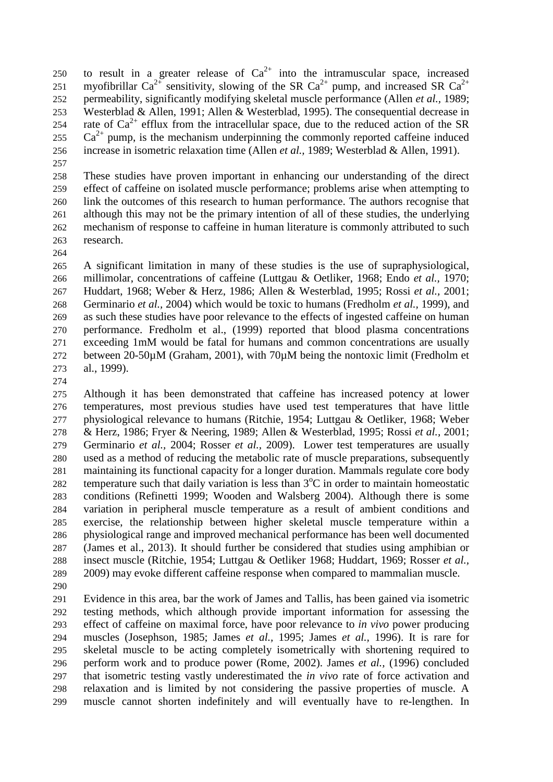- 250 to result in a greater release of  $Ca^{2+}$  into the intramuscular space, increased 251 myofibrillar Ca<sup>2+</sup> sensitivity, slowing of the SR Ca<sup>2+</sup> pump, and increased SR Ca<sup>2+</sup> permeability, significantly modifying skeletal muscle performance (Allen *et al.,* 1989; Westerblad & Allen, 1991; Allen & Westerblad, 1995). The consequential decrease in 254 rate of  $Ca^{2+}$  efflux from the intracellular space, due to the reduced action of the SR  $Ca^{2+}$  pump, is the mechanism underpinning the commonly reported caffeine induced increase in isometric relaxation time (Allen *et al.,* 1989; Westerblad & Allen, 1991).
- 

 These studies have proven important in enhancing our understanding of the direct effect of caffeine on isolated muscle performance; problems arise when attempting to link the outcomes of this research to human performance. The authors recognise that although this may not be the primary intention of all of these studies, the underlying mechanism of response to caffeine in human literature is commonly attributed to such research.

 A significant limitation in many of these studies is the use of supraphysiological, millimolar, concentrations of caffeine (Luttgau & Oetliker, 1968; Endo *et al.,* 1970; Huddart, 1968; Weber & Herz, 1986; Allen & Westerblad, 1995; Rossi *et al.,* 2001; Germinario *et al.,* 2004) which would be toxic to humans (Fredholm *et al.,* 1999), and as such these studies have poor relevance to the effects of ingested caffeine on human performance. Fredholm et al., (1999) reported that blood plasma concentrations exceeding 1mM would be fatal for humans and common concentrations are usually between 20-50µM (Graham, 2001), with 70µM being the nontoxic limit (Fredholm et al., 1999).

 Although it has been demonstrated that caffeine has increased potency at lower temperatures, most previous studies have used test temperatures that have little physiological relevance to humans (Ritchie, 1954; Luttgau & Oetliker, 1968; Weber & Herz, 1986; Fryer & Neering, 1989; Allen & Westerblad, 1995; Rossi *et al.,* 2001; Germinario *et al.,* 2004; Rosser *et al.,* 2009). Lower test temperatures are usually used as a method of reducing the metabolic rate of muscle preparations, subsequently maintaining its functional capacity for a longer duration. Mammals regulate core body 282 temperature such that daily variation is less than  $3^{\circ}$ C in order to maintain homeostatic conditions (Refinetti 1999; Wooden and Walsberg 2004). Although there is some variation in peripheral muscle temperature as a result of ambient conditions and exercise, the relationship between higher skeletal muscle temperature within a physiological range and improved mechanical performance has been well documented (James et al., 2013). It should further be considered that studies using amphibian or insect muscle (Ritchie, 1954; Luttgau & Oetliker 1968; Huddart, 1969; Rosser *et al.,* 2009) may evoke different caffeine response when compared to mammalian muscle.

 Evidence in this area, bar the work of James and Tallis, has been gained via isometric testing methods, which although provide important information for assessing the effect of caffeine on maximal force, have poor relevance to *in vivo* power producing muscles (Josephson, 1985; James *et al.,* 1995; James *et al.,* 1996). It is rare for skeletal muscle to be acting completely isometrically with shortening required to perform work and to produce power (Rome, 2002). James *et al.,* (1996) concluded that isometric testing vastly underestimated the *in vivo* rate of force activation and relaxation and is limited by not considering the passive properties of muscle. A muscle cannot shorten indefinitely and will eventually have to re-lengthen. In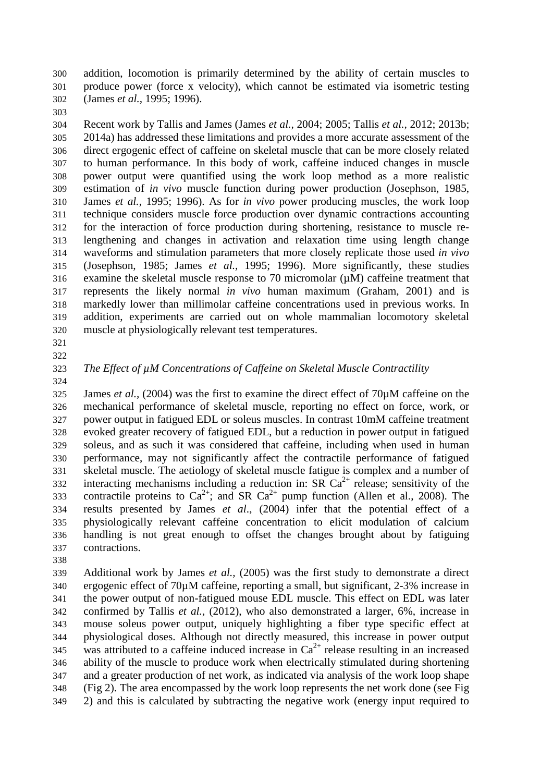addition, locomotion is primarily determined by the ability of certain muscles to produce power (force x velocity), which cannot be estimated via isometric testing (James *et al.,* 1995; 1996).

 Recent work by Tallis and James (James *et al.,* 2004; 2005; Tallis *et al.,* 2012; 2013b; 2014a) has addressed these limitations and provides a more accurate assessment of the direct ergogenic effect of caffeine on skeletal muscle that can be more closely related to human performance. In this body of work, caffeine induced changes in muscle power output were quantified using the work loop method as a more realistic estimation of *in vivo* muscle function during power production (Josephson, 1985, James *et al.,* 1995; 1996). As for *in vivo* power producing muscles, the work loop technique considers muscle force production over dynamic contractions accounting for the interaction of force production during shortening, resistance to muscle re- lengthening and changes in activation and relaxation time using length change waveforms and stimulation parameters that more closely replicate those used *in vivo* (Josephson, 1985; James *et al.,* 1995; 1996). More significantly, these studies examine the skeletal muscle response to 70 micromolar (µM) caffeine treatment that represents the likely normal *in vivo* human maximum (Graham, 2001) and is markedly lower than millimolar caffeine concentrations used in previous works. In addition, experiments are carried out on whole mammalian locomotory skeletal muscle at physiologically relevant test temperatures.

- 
- 

### *The Effect of µM Concentrations of Caffeine on Skeletal Muscle Contractility*

 James *et al.,* (2004) was the first to examine the direct effect of 70µM caffeine on the mechanical performance of skeletal muscle, reporting no effect on force, work, or power output in fatigued EDL or soleus muscles. In contrast 10mM caffeine treatment evoked greater recovery of fatigued EDL, but a reduction in power output in fatigued soleus, and as such it was considered that caffeine, including when used in human performance, may not significantly affect the contractile performance of fatigued skeletal muscle. The aetiology of skeletal muscle fatigue is complex and a number of interacting mechanisms including a reduction in: SR  $Ca^{2+}$  release; sensitivity of the contractile proteins to  $Ca^{2+}$ ; and SR  $Ca^{2+}$  pump function (Allen et al., 2008). The results presented by James *et al*., (2004) infer that the potential effect of a physiologically relevant caffeine concentration to elicit modulation of calcium handling is not great enough to offset the changes brought about by fatiguing contractions.

 Additional work by James *et al.,* (2005) was the first study to demonstrate a direct ergogenic effect of 70µM caffeine, reporting a small, but significant, 2-3% increase in the power output of non-fatigued mouse EDL muscle. This effect on EDL was later confirmed by Tallis *et al.,* (2012), who also demonstrated a larger, 6%, increase in mouse soleus power output, uniquely highlighting a fiber type specific effect at physiological doses. Although not directly measured, this increase in power output was attributed to a caffeine induced increase in  $Ca^{2+}$  release resulting in an increased ability of the muscle to produce work when electrically stimulated during shortening and a greater production of net work, as indicated via analysis of the work loop shape (Fig 2). The area encompassed by the work loop represents the net work done (see Fig 2) and this is calculated by subtracting the negative work (energy input required to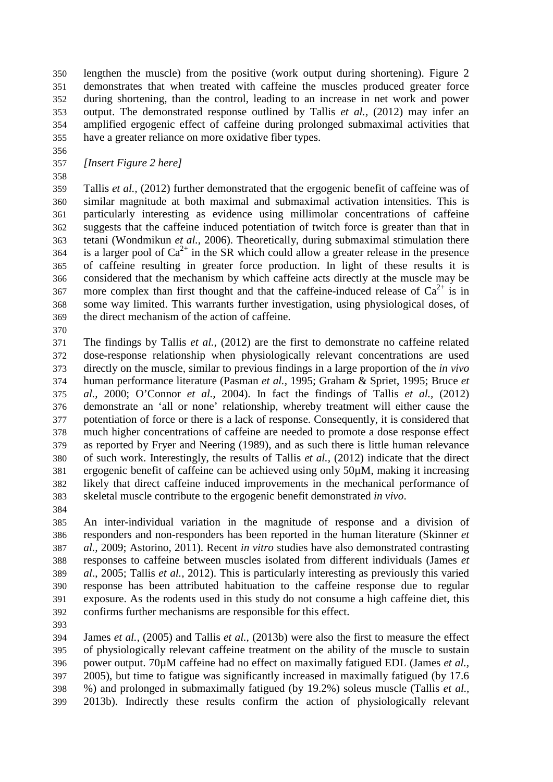lengthen the muscle) from the positive (work output during shortening). Figure 2 demonstrates that when treated with caffeine the muscles produced greater force during shortening, than the control, leading to an increase in net work and power output. The demonstrated response outlined by Tallis *et al.,* (2012) may infer an amplified ergogenic effect of caffeine during prolonged submaximal activities that have a greater reliance on more oxidative fiber types.

*[Insert Figure 2 here]*

 Tallis *et al.,* (2012) further demonstrated that the ergogenic benefit of caffeine was of similar magnitude at both maximal and submaximal activation intensities. This is particularly interesting as evidence using millimolar concentrations of caffeine suggests that the caffeine induced potentiation of twitch force is greater than that in tetani (Wondmikun *et al.,* 2006). Theoretically, during submaximal stimulation there is a larger pool of  $Ca^{2+}$  in the SR which could allow a greater release in the presence of caffeine resulting in greater force production. In light of these results it is considered that the mechanism by which caffeine acts directly at the muscle may be 367 more complex than first thought and that the caffeine-induced release of  $Ca^{2+}$  is in some way limited. This warrants further investigation, using physiological doses, of the direct mechanism of the action of caffeine.

 The findings by Tallis *et al.,* (2012) are the first to demonstrate no caffeine related dose-response relationship when physiologically relevant concentrations are used directly on the muscle, similar to previous findings in a large proportion of the *in vivo* human performance literature (Pasman *et al.,* 1995; Graham & Spriet, 1995; Bruce *et al.,* 2000; O'Connor *et al.,* 2004). In fact the findings of Tallis *et al.,* (2012) demonstrate an 'all or none' relationship, whereby treatment will either cause the potentiation of force or there is a lack of response. Consequently, it is considered that much higher concentrations of caffeine are needed to promote a dose response effect as reported by Fryer and Neering (1989), and as such there is little human relevance of such work. Interestingly, the results of Tallis *et al.,* (2012) indicate that the direct ergogenic benefit of caffeine can be achieved using only 50µM, making it increasing likely that direct caffeine induced improvements in the mechanical performance of skeletal muscle contribute to the ergogenic benefit demonstrated *in vivo*.

 An inter-individual variation in the magnitude of response and a division of responders and non-responders has been reported in the human literature (Skinner *et al.,* 2009; Astorino, 2011). Recent *in vitro* studies have also demonstrated contrasting responses to caffeine between muscles isolated from different individuals (James *et al*., 2005; Tallis *et al.,* 2012). This is particularly interesting as previously this varied response has been attributed habituation to the caffeine response due to regular exposure. As the rodents used in this study do not consume a high caffeine diet, this confirms further mechanisms are responsible for this effect.

 James *et al.,* (2005) and Tallis *et al.,* (2013b) were also the first to measure the effect of physiologically relevant caffeine treatment on the ability of the muscle to sustain power output. 70µM caffeine had no effect on maximally fatigued EDL (James *et al.,* 2005), but time to fatigue was significantly increased in maximally fatigued (by 17.6 %) and prolonged in submaximally fatigued (by 19.2%) soleus muscle (Tallis *et al.,* 2013b). Indirectly these results confirm the action of physiologically relevant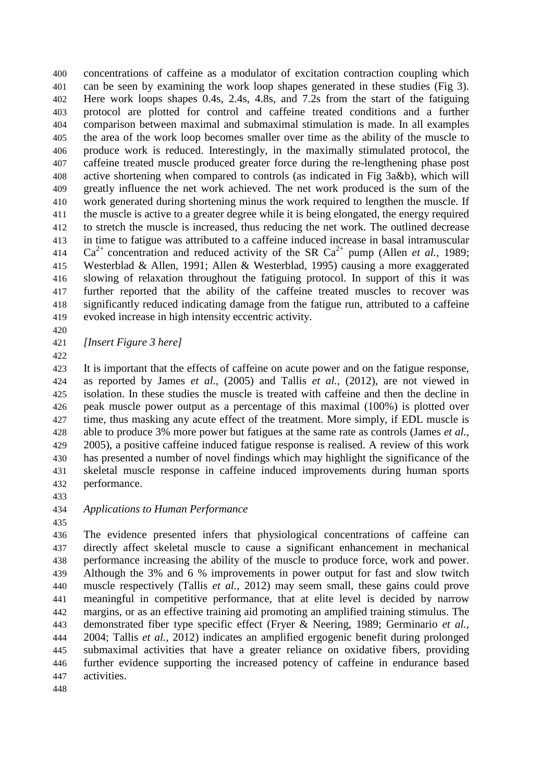concentrations of caffeine as a modulator of excitation contraction coupling which can be seen by examining the work loop shapes generated in these studies (Fig 3). Here work loops shapes 0.4s, 2.4s, 4.8s, and 7.2s from the start of the fatiguing protocol are plotted for control and caffeine treated conditions and a further comparison between maximal and submaximal stimulation is made. In all examples the area of the work loop becomes smaller over time as the ability of the muscle to produce work is reduced. Interestingly, in the maximally stimulated protocol, the caffeine treated muscle produced greater force during the re-lengthening phase post active shortening when compared to controls (as indicated in Fig 3a&b), which will greatly influence the net work achieved. The net work produced is the sum of the work generated during shortening minus the work required to lengthen the muscle. If the muscle is active to a greater degree while it is being elongated, the energy required to stretch the muscle is increased, thus reducing the net work. The outlined decrease in time to fatigue was attributed to a caffeine induced increase in basal intramuscular 414 Ca<sup>2+</sup> concentration and reduced activity of the SR Ca<sup>2+</sup> pump (Allen *et al.*, 1989; Westerblad & Allen, 1991; Allen & Westerblad, 1995) causing a more exaggerated slowing of relaxation throughout the fatiguing protocol. In support of this it was further reported that the ability of the caffeine treated muscles to recover was significantly reduced indicating damage from the fatigue run, attributed to a caffeine evoked increase in high intensity eccentric activity.

*[Insert Figure 3 here]*

 It is important that the effects of caffeine on acute power and on the fatigue response, as reported by James *et al.,* (2005) and Tallis *et al.,* (2012), are not viewed in isolation. In these studies the muscle is treated with caffeine and then the decline in peak muscle power output as a percentage of this maximal (100%) is plotted over time, thus masking any acute effect of the treatment. More simply, if EDL muscle is able to produce 3% more power but fatigues at the same rate as controls (James *et al.,* 2005), a positive caffeine induced fatigue response is realised. A review of this work has presented a number of novel findings which may highlight the significance of the skeletal muscle response in caffeine induced improvements during human sports performance.

#### *Applications to Human Performance*

 The evidence presented infers that physiological concentrations of caffeine can directly affect skeletal muscle to cause a significant enhancement in mechanical performance increasing the ability of the muscle to produce force, work and power. Although the 3% and 6 % improvements in power output for fast and slow twitch muscle respectively (Tallis *et al.,* 2012) may seem small, these gains could prove meaningful in competitive performance, that at elite level is decided by narrow margins, or as an effective training aid promoting an amplified training stimulus. The demonstrated fiber type specific effect (Fryer & Neering, 1989; Germinario *et al.,* 2004; Tallis *et al.,* 2012) indicates an amplified ergogenic benefit during prolonged submaximal activities that have a greater reliance on oxidative fibers, providing further evidence supporting the increased potency of caffeine in endurance based activities.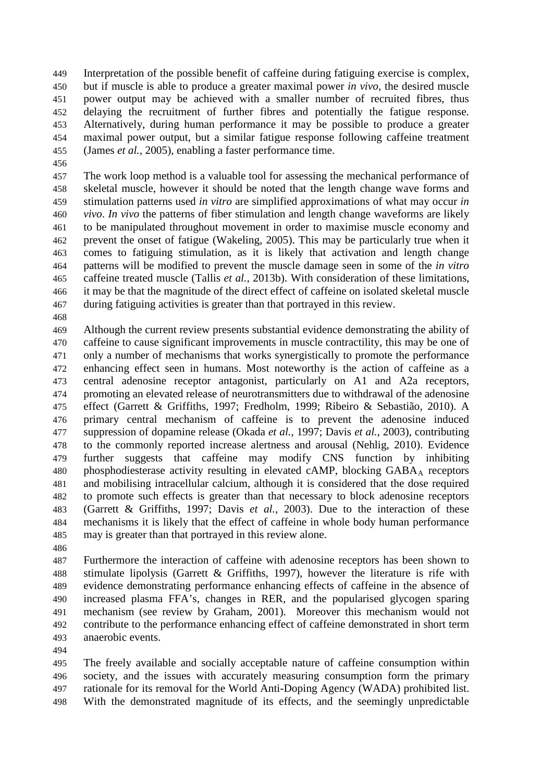Interpretation of the possible benefit of caffeine during fatiguing exercise is complex, but if muscle is able to produce a greater maximal power *in vivo*, the desired muscle power output may be achieved with a smaller number of recruited fibres, thus delaying the recruitment of further fibres and potentially the fatigue response. Alternatively, during human performance it may be possible to produce a greater maximal power output, but a similar fatigue response following caffeine treatment (James *et al.,* 2005), enabling a faster performance time.

 The work loop method is a valuable tool for assessing the mechanical performance of skeletal muscle, however it should be noted that the length change wave forms and stimulation patterns used *in vitro* are simplified approximations of what may occur *in vivo*. *In vivo* the patterns of fiber stimulation and length change waveforms are likely to be manipulated throughout movement in order to maximise muscle economy and prevent the onset of fatigue (Wakeling, 2005). This may be particularly true when it comes to fatiguing stimulation, as it is likely that activation and length change patterns will be modified to prevent the muscle damage seen in some of the *in vitro* caffeine treated muscle (Tallis *et al.,* 2013b). With consideration of these limitations, it may be that the magnitude of the direct effect of caffeine on isolated skeletal muscle during fatiguing activities is greater than that portrayed in this review.

 Although the current review presents substantial evidence demonstrating the ability of caffeine to cause significant improvements in muscle contractility, this may be one of only a number of mechanisms that works synergistically to promote the performance enhancing effect seen in humans. Most noteworthy is the action of caffeine as a central adenosine receptor antagonist, particularly on A1 and A2a receptors, promoting an elevated release of neurotransmitters due to withdrawal of the adenosine effect (Garrett & Griffiths, 1997; Fredholm, 1999; Ribeiro & Sebastião, 2010). A primary central mechanism of caffeine is to prevent the adenosine induced suppression of dopamine release (Okada *et al.,* 1997; Davis *et al.,* 2003), contributing to the commonly reported increase alertness and arousal (Nehlig, 2010). Evidence further suggests that caffeine may modify CNS function by inhibiting 480 phosphodiesterase activity resulting in elevated cAMP, blocking GABA<sub>A</sub> receptors and mobilising intracellular calcium, although it is considered that the dose required to promote such effects is greater than that necessary to block adenosine receptors (Garrett & Griffiths, 1997; Davis *et al.,* 2003). Due to the interaction of these mechanisms it is likely that the effect of caffeine in whole body human performance may is greater than that portrayed in this review alone.

 Furthermore the interaction of caffeine with adenosine receptors has been shown to stimulate lipolysis (Garrett & Griffiths, 1997), however the literature is rife with evidence demonstrating performance enhancing effects of caffeine in the absence of increased plasma FFA's, changes in RER, and the popularised glycogen sparing mechanism (see review by Graham, 2001). Moreover this mechanism would not contribute to the performance enhancing effect of caffeine demonstrated in short term anaerobic events.

 The freely available and socially acceptable nature of caffeine consumption within society, and the issues with accurately measuring consumption form the primary rationale for its removal for the World Anti-Doping Agency (WADA) prohibited list. With the demonstrated magnitude of its effects, and the seemingly unpredictable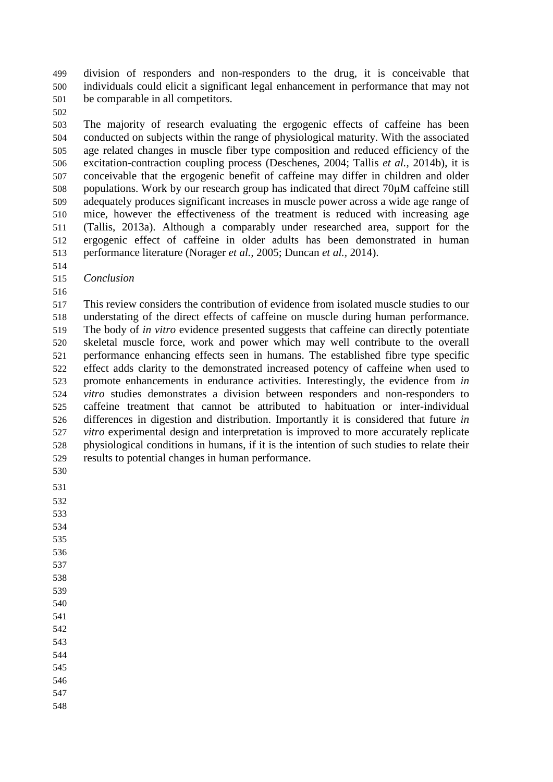division of responders and non-responders to the drug, it is conceivable that individuals could elicit a significant legal enhancement in performance that may not be comparable in all competitors.

 The majority of research evaluating the ergogenic effects of caffeine has been conducted on subjects within the range of physiological maturity. With the associated age related changes in muscle fiber type composition and reduced efficiency of the excitation-contraction coupling process (Deschenes, 2004; Tallis *et al.,* 2014b), it is conceivable that the ergogenic benefit of caffeine may differ in children and older populations. Work by our research group has indicated that direct 70µM caffeine still adequately produces significant increases in muscle power across a wide age range of mice, however the effectiveness of the treatment is reduced with increasing age (Tallis, 2013a). Although a comparably under researched area, support for the ergogenic effect of caffeine in older adults has been demonstrated in human performance literature (Norager *et al.,* 2005; Duncan *et al.,* 2014).

- *Conclusion*
- 

 This review considers the contribution of evidence from isolated muscle studies to our understating of the direct effects of caffeine on muscle during human performance. The body of *in vitro* evidence presented suggests that caffeine can directly potentiate skeletal muscle force, work and power which may well contribute to the overall performance enhancing effects seen in humans. The established fibre type specific effect adds clarity to the demonstrated increased potency of caffeine when used to promote enhancements in endurance activities. Interestingly, the evidence from *in vitro* studies demonstrates a division between responders and non-responders to caffeine treatment that cannot be attributed to habituation or inter-individual differences in digestion and distribution. Importantly it is considered that future *in vitro* experimental design and interpretation is improved to more accurately replicate physiological conditions in humans, if it is the intention of such studies to relate their results to potential changes in human performance.

- 
- 
- 

 

- 
- 
- 
- 
- 
- 
- 

- 
- 
- 
-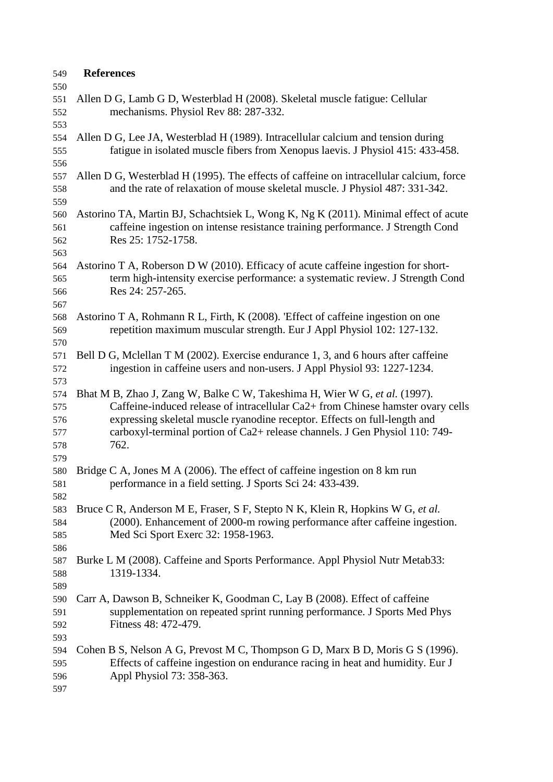| 549 | <b>References</b>                                                                       |
|-----|-----------------------------------------------------------------------------------------|
| 550 |                                                                                         |
| 551 | Allen D G, Lamb G D, Westerblad H (2008). Skeletal muscle fatigue: Cellular             |
| 552 | mechanisms. Physiol Rev 88: 287-332.                                                    |
| 553 |                                                                                         |
| 554 | Allen D G, Lee JA, Westerblad H (1989). Intracellular calcium and tension during        |
| 555 | fatigue in isolated muscle fibers from Xenopus laevis. J Physiol 415: 433-458.          |
| 556 |                                                                                         |
| 557 | Allen D G, Westerblad H (1995). The effects of caffeine on intracellular calcium, force |
| 558 | and the rate of relaxation of mouse skeletal muscle. J Physiol 487: 331-342.            |
| 559 |                                                                                         |
|     | Astorino TA, Martin BJ, Schachtsiek L, Wong K, Ng K (2011). Minimal effect of acute     |
| 560 |                                                                                         |
| 561 | caffeine ingestion on intense resistance training performance. J Strength Cond          |
| 562 | Res 25: 1752-1758.                                                                      |
| 563 |                                                                                         |
| 564 | Astorino T A, Roberson D W (2010). Efficacy of acute caffeine ingestion for short-      |
| 565 | term high-intensity exercise performance: a systematic review. J Strength Cond          |
| 566 | Res 24: 257-265.                                                                        |
| 567 |                                                                                         |
| 568 | Astorino T A, Rohmann R L, Firth, K (2008). 'Effect of caffeine ingestion on one        |
| 569 | repetition maximum muscular strength. Eur J Appl Physiol 102: 127-132.                  |
| 570 |                                                                                         |
| 571 | Bell D G, Mclellan T M (2002). Exercise endurance 1, 3, and 6 hours after caffeine      |
| 572 | ingestion in caffeine users and non-users. J Appl Physiol 93: 1227-1234.                |
| 573 |                                                                                         |
| 574 | Bhat M B, Zhao J, Zang W, Balke C W, Takeshima H, Wier W G, et al. (1997).              |
| 575 | Caffeine-induced release of intracellular Ca2+ from Chinese hamster ovary cells         |
| 576 | expressing skeletal muscle ryanodine receptor. Effects on full-length and               |
| 577 | carboxyl-terminal portion of Ca2+ release channels. J Gen Physiol 110: 749-             |
| 578 | 762.                                                                                    |
| 579 |                                                                                         |
| 580 | Bridge C A, Jones M A (2006). The effect of caffeine ingestion on $8 \text{ km run}$    |
| 581 | performance in a field setting. J Sports Sci 24: 433-439.                               |
| 582 |                                                                                         |
| 583 | Bruce C R, Anderson M E, Fraser, S F, Stepto N K, Klein R, Hopkins W G, et al.          |
| 584 | (2000). Enhancement of 2000-m rowing performance after caffeine ingestion.              |
| 585 | Med Sci Sport Exerc 32: 1958-1963.                                                      |
| 586 |                                                                                         |
| 587 | Burke L M (2008). Caffeine and Sports Performance. Appl Physiol Nutr Metab33:           |
| 588 | 1319-1334.                                                                              |
| 589 |                                                                                         |
| 590 | Carr A, Dawson B, Schneiker K, Goodman C, Lay B (2008). Effect of caffeine              |
| 591 | supplementation on repeated sprint running performance. J Sports Med Phys               |
| 592 | Fitness 48: 472-479.                                                                    |
|     |                                                                                         |
| 593 |                                                                                         |
| 594 | Cohen B S, Nelson A G, Prevost M C, Thompson G D, Marx B D, Moris G S (1996).           |
| 595 | Effects of caffeine ingestion on endurance racing in heat and humidity. Eur J           |
| 596 | Appl Physiol 73: 358-363.                                                               |
| 597 |                                                                                         |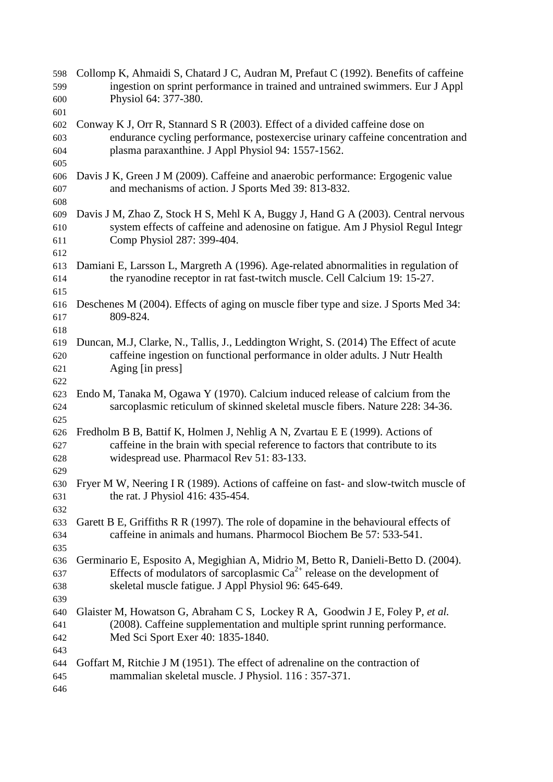| 598<br>599<br>600 | Collomp K, Ahmaidi S, Chatard J C, Audran M, Prefaut C (1992). Benefits of caffeine<br>ingestion on sprint performance in trained and untrained swimmers. Eur J Appl<br>Physiol 64: 377-380. |
|-------------------|----------------------------------------------------------------------------------------------------------------------------------------------------------------------------------------------|
| 601               |                                                                                                                                                                                              |
| 602               | Conway K J, Orr R, Stannard S R (2003). Effect of a divided caffeine dose on                                                                                                                 |
| 603               | endurance cycling performance, postexercise urinary caffeine concentration and                                                                                                               |
| 604               | plasma paraxanthine. J Appl Physiol 94: 1557-1562.                                                                                                                                           |
| 605               |                                                                                                                                                                                              |
| 606               | Davis J K, Green J M (2009). Caffeine and anaerobic performance: Ergogenic value                                                                                                             |
| 607               | and mechanisms of action. J Sports Med 39: 813-832.                                                                                                                                          |
| 608               |                                                                                                                                                                                              |
| 609               | Davis J M, Zhao Z, Stock H S, Mehl K A, Buggy J, Hand G A (2003). Central nervous                                                                                                            |
| 610               | system effects of caffeine and adenosine on fatigue. Am J Physiol Regul Integr                                                                                                               |
| 611               | Comp Physiol 287: 399-404.                                                                                                                                                                   |
| 612               |                                                                                                                                                                                              |
| 613               | Damiani E, Larsson L, Margreth A (1996). Age-related abnormalities in regulation of                                                                                                          |
| 614               | the ryanodine receptor in rat fast-twitch muscle. Cell Calcium 19: 15-27.                                                                                                                    |
| 615               |                                                                                                                                                                                              |
| 616               | Deschenes M (2004). Effects of aging on muscle fiber type and size. J Sports Med 34:                                                                                                         |
| 617               | 809-824.                                                                                                                                                                                     |
| 618               |                                                                                                                                                                                              |
| 619               | Duncan, M.J, Clarke, N., Tallis, J., Leddington Wright, S. (2014) The Effect of acute                                                                                                        |
| 620               | caffeine ingestion on functional performance in older adults. J Nutr Health                                                                                                                  |
| 621               | Aging [in press]                                                                                                                                                                             |
| 622               |                                                                                                                                                                                              |
| 623               | Endo M, Tanaka M, Ogawa Y (1970). Calcium induced release of calcium from the                                                                                                                |
| 624               | sarcoplasmic reticulum of skinned skeletal muscle fibers. Nature 228: 34-36.                                                                                                                 |
| 625               |                                                                                                                                                                                              |
| 626               | Fredholm B B, Battif K, Holmen J, Nehlig A N, Zvartau E E (1999). Actions of                                                                                                                 |
| 627               | caffeine in the brain with special reference to factors that contribute to its                                                                                                               |
| 628               | widespread use. Pharmacol Rev 51: 83-133.                                                                                                                                                    |
| 629               |                                                                                                                                                                                              |
| 630               | Fryer M W, Neering I R (1989). Actions of caffeine on fast- and slow-twitch muscle of                                                                                                        |
| 631               | the rat. J Physiol 416: 435-454.                                                                                                                                                             |
| 632               |                                                                                                                                                                                              |
| 633               | Garett B E, Griffiths R R (1997). The role of dopamine in the behavioural effects of                                                                                                         |
| 634               | caffeine in animals and humans. Pharmocol Biochem Be 57: 533-541.                                                                                                                            |
| 635               |                                                                                                                                                                                              |
| 636               | Germinario E, Esposito A, Megighian A, Midrio M, Betto R, Danieli-Betto D. (2004).                                                                                                           |
| 637               | Effects of modulators of sarcoplasmic $Ca^{2+}$ release on the development of                                                                                                                |
| 638               | skeletal muscle fatigue. J Appl Physiol 96: 645-649.                                                                                                                                         |
| 639               |                                                                                                                                                                                              |
| 640               | Glaister M, Howatson G, Abraham C S, Lockey R A, Goodwin J E, Foley P, et al.                                                                                                                |
| 641               | (2008). Caffeine supplementation and multiple sprint running performance.                                                                                                                    |
| 642               | Med Sci Sport Exer 40: 1835-1840.                                                                                                                                                            |
| 643               |                                                                                                                                                                                              |
| 644               | Goffart M, Ritchie J M (1951). The effect of adrenaline on the contraction of                                                                                                                |
| 645               | mammalian skeletal muscle. J Physiol. 116 : 357-371.                                                                                                                                         |
|                   |                                                                                                                                                                                              |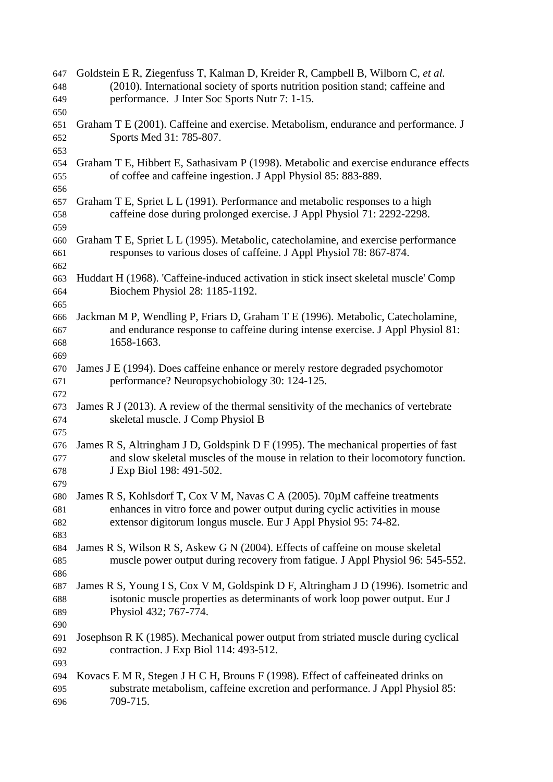| 647 | Goldstein E R, Ziegenfuss T, Kalman D, Kreider R, Campbell B, Wilborn C, et al.      |
|-----|--------------------------------------------------------------------------------------|
| 648 | (2010). International society of sports nutrition position stand; caffeine and       |
| 649 | performance. J Inter Soc Sports Nutr 7: 1-15.                                        |
| 650 |                                                                                      |
| 651 | Graham T E (2001). Caffeine and exercise. Metabolism, endurance and performance. J   |
| 652 | Sports Med 31: 785-807.                                                              |
| 653 |                                                                                      |
| 654 | Graham T E, Hibbert E, Sathasivam P (1998). Metabolic and exercise endurance effects |
| 655 | of coffee and caffeine ingestion. J Appl Physiol 85: 883-889.                        |
| 656 |                                                                                      |
| 657 | Graham T E, Spriet L L (1991). Performance and metabolic responses to a high         |
| 658 | caffeine dose during prolonged exercise. J Appl Physiol 71: 2292-2298.               |
|     |                                                                                      |
| 659 |                                                                                      |
| 660 | Graham T E, Spriet L L (1995). Metabolic, catecholamine, and exercise performance    |
| 661 | responses to various doses of caffeine. J Appl Physiol 78: 867-874.                  |
| 662 |                                                                                      |
| 663 | Huddart H (1968). 'Caffeine-induced activation in stick insect skeletal muscle' Comp |
| 664 | Biochem Physiol 28: 1185-1192.                                                       |
| 665 |                                                                                      |
| 666 | Jackman M P, Wendling P, Friars D, Graham T E (1996). Metabolic, Catecholamine,      |
| 667 | and endurance response to caffeine during intense exercise. J Appl Physiol 81:       |
| 668 | 1658-1663.                                                                           |
| 669 |                                                                                      |
| 670 | James J E (1994). Does caffeine enhance or merely restore degraded psychomotor       |
| 671 | performance? Neuropsychobiology 30: 124-125.                                         |
| 672 |                                                                                      |
| 673 | James R J (2013). A review of the thermal sensitivity of the mechanics of vertebrate |
| 674 | skeletal muscle. J Comp Physiol B                                                    |
| 675 |                                                                                      |
| 676 | James R S, Altringham J D, Goldspink D F (1995). The mechanical properties of fast   |
| 677 | and slow skeletal muscles of the mouse in relation to their locomotory function.     |
| 678 | J Exp Biol 198: 491-502.                                                             |
| 679 |                                                                                      |
| 680 | James R S, Kohlsdorf T, Cox V M, Navas C A (2005). 70µM caffeine treatments          |
| 681 | enhances in vitro force and power output during cyclic activities in mouse           |
| 682 | extensor digitorum longus muscle. Eur J Appl Physiol 95: 74-82.                      |
| 683 |                                                                                      |
| 684 | James R S, Wilson R S, Askew G N (2004). Effects of caffeine on mouse skeletal       |
| 685 | muscle power output during recovery from fatigue. J Appl Physiol 96: 545-552.        |
|     |                                                                                      |
| 686 |                                                                                      |
| 687 | James R S, Young I S, Cox V M, Goldspink D F, Altringham J D (1996). Isometric and   |
| 688 | isotonic muscle properties as determinants of work loop power output. Eur J          |
| 689 | Physiol 432; 767-774.                                                                |
| 690 |                                                                                      |
| 691 | Josephson R K (1985). Mechanical power output from striated muscle during cyclical   |
| 692 | contraction. J Exp Biol 114: 493-512.                                                |
| 693 |                                                                                      |
| 694 | Kovacs E M R, Stegen J H C H, Brouns F (1998). Effect of caffeineated drinks on      |
| 695 | substrate metabolism, caffeine excretion and performance. J Appl Physiol 85:         |
| 696 | 709-715.                                                                             |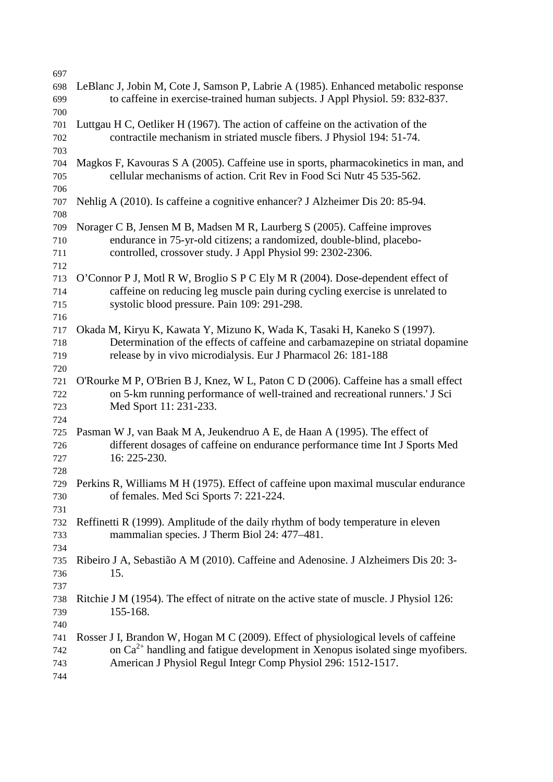| 697        |                                                                                                                                                                    |
|------------|--------------------------------------------------------------------------------------------------------------------------------------------------------------------|
| 698<br>699 | LeBlanc J, Jobin M, Cote J, Samson P, Labrie A (1985). Enhanced metabolic response<br>to caffeine in exercise-trained human subjects. J Appl Physiol. 59: 832-837. |
| 700        |                                                                                                                                                                    |
| 701        | Luttgau H C, Oetliker H (1967). The action of caffeine on the activation of the                                                                                    |
| 702        | contractile mechanism in striated muscle fibers. J Physiol 194: 51-74.                                                                                             |
| 703        |                                                                                                                                                                    |
| 704        | Magkos F, Kavouras S A (2005). Caffeine use in sports, pharmacokinetics in man, and                                                                                |
| 705        | cellular mechanisms of action. Crit Rev in Food Sci Nutr 45 535-562.                                                                                               |
| 706        |                                                                                                                                                                    |
| 707        | Nehlig A (2010). Is caffeine a cognitive enhancer? J Alzheimer Dis 20: 85-94.                                                                                      |
| 708        |                                                                                                                                                                    |
| 709        | Norager C B, Jensen M B, Madsen M R, Laurberg S (2005). Caffeine improves                                                                                          |
| 710        | endurance in 75-yr-old citizens; a randomized, double-blind, placebo-                                                                                              |
| 711        | controlled, crossover study. J Appl Physiol 99: 2302-2306.                                                                                                         |
| 712        |                                                                                                                                                                    |
| 713        | O'Connor P J, Motl R W, Broglio S P C Ely M R (2004). Dose-dependent effect of                                                                                     |
| 714        | caffeine on reducing leg muscle pain during cycling exercise is unrelated to                                                                                       |
| 715        | systolic blood pressure. Pain 109: 291-298.                                                                                                                        |
| 716        |                                                                                                                                                                    |
| 717        | Okada M, Kiryu K, Kawata Y, Mizuno K, Wada K, Tasaki H, Kaneko S (1997).                                                                                           |
| 718        | Determination of the effects of caffeine and carbamazepine on striatal dopamine                                                                                    |
| 719        | release by in vivo microdialysis. Eur J Pharmacol 26: 181-188                                                                                                      |
| 720        |                                                                                                                                                                    |
| 721        | O'Rourke M P, O'Brien B J, Knez, W L, Paton C D (2006). Caffeine has a small effect                                                                                |
|            | on 5-km running performance of well-trained and recreational runners. I Sci                                                                                        |
| 722        |                                                                                                                                                                    |
| 723        | Med Sport 11: 231-233.                                                                                                                                             |
| 724        |                                                                                                                                                                    |
| 725        | Pasman W J, van Baak M A, Jeukendruo A E, de Haan A (1995). The effect of                                                                                          |
| 726        | different dosages of caffeine on endurance performance time Int J Sports Med                                                                                       |
| 727        | 16: 225-230.                                                                                                                                                       |
| 728        |                                                                                                                                                                    |
| 729        | Perkins R, Williams M H (1975). Effect of caffeine upon maximal muscular endurance                                                                                 |
| 730        | of females. Med Sci Sports 7: 221-224.                                                                                                                             |
| 731        |                                                                                                                                                                    |
| 732        | Reffinetti R (1999). Amplitude of the daily rhythm of body temperature in eleven                                                                                   |
| 733        | mammalian species. J Therm Biol 24: 477-481.                                                                                                                       |
| 734        |                                                                                                                                                                    |
| 735        | Ribeiro J A, Sebastião A M (2010). Caffeine and Adenosine. J Alzheimers Dis 20: 3-                                                                                 |
| 736        | 15.                                                                                                                                                                |
| 737        |                                                                                                                                                                    |
| 738        | Ritchie J M (1954). The effect of nitrate on the active state of muscle. J Physiol 126:                                                                            |
| 739        | 155-168.                                                                                                                                                           |
| 740        |                                                                                                                                                                    |
| 741        | Rosser J I, Brandon W, Hogan M C (2009). Effect of physiological levels of caffeine                                                                                |
| 742        | on $Ca^{2+}$ handling and fatigue development in Xenopus isolated singe myofibers.                                                                                 |
| 743        | American J Physiol Regul Integr Comp Physiol 296: 1512-1517.                                                                                                       |
| 744        |                                                                                                                                                                    |
|            |                                                                                                                                                                    |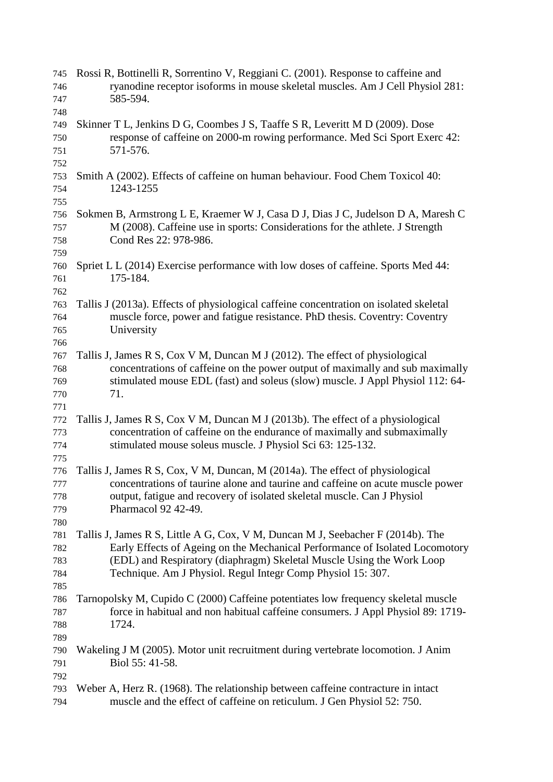| 745<br>746 | Rossi R, Bottinelli R, Sorrentino V, Reggiani C. (2001). Response to caffeine and<br>ryanodine receptor isoforms in mouse skeletal muscles. Am J Cell Physiol 281: |
|------------|--------------------------------------------------------------------------------------------------------------------------------------------------------------------|
| 747        | 585-594.                                                                                                                                                           |
| 748        |                                                                                                                                                                    |
| 749        | Skinner T L, Jenkins D G, Coombes J S, Taaffe S R, Leveritt M D (2009). Dose                                                                                       |
| 750        | response of caffeine on 2000-m rowing performance. Med Sci Sport Exerc 42:                                                                                         |
| 751        | 571-576.                                                                                                                                                           |
| 752        |                                                                                                                                                                    |
| 753        | Smith A (2002). Effects of caffeine on human behaviour. Food Chem Toxicol 40:                                                                                      |
| 754        | 1243-1255                                                                                                                                                          |
| 755        |                                                                                                                                                                    |
| 756        | Sokmen B, Armstrong L E, Kraemer W J, Casa D J, Dias J C, Judelson D A, Maresh C                                                                                   |
| 757        | M (2008). Caffeine use in sports: Considerations for the athlete. J Strength                                                                                       |
| 758        | Cond Res 22: 978-986.                                                                                                                                              |
| 759        |                                                                                                                                                                    |
| 760        | Spriet L L (2014) Exercise performance with low doses of caffeine. Sports Med 44:                                                                                  |
| 761        | 175-184.                                                                                                                                                           |
| 762        |                                                                                                                                                                    |
| 763        | Tallis J (2013a). Effects of physiological caffeine concentration on isolated skeletal                                                                             |
| 764        | muscle force, power and fatigue resistance. PhD thesis. Coventry: Coventry                                                                                         |
|            | University                                                                                                                                                         |
| 765        |                                                                                                                                                                    |
| 766        | Tallis J, James R S, Cox V M, Duncan M J (2012). The effect of physiological                                                                                       |
| 767        | concentrations of caffeine on the power output of maximally and sub maximally                                                                                      |
| 768        | stimulated mouse EDL (fast) and soleus (slow) muscle. J Appl Physiol 112: 64-                                                                                      |
| 769        | 71.                                                                                                                                                                |
| 770<br>771 |                                                                                                                                                                    |
| 772        | Tallis J, James R S, Cox V M, Duncan M J (2013b). The effect of a physiological                                                                                    |
| 773        | concentration of caffeine on the endurance of maximally and submaximally                                                                                           |
| 774        | stimulated mouse soleus muscle. J Physiol Sci 63: 125-132.                                                                                                         |
| 775        |                                                                                                                                                                    |
| 776        | Tallis J, James R S, Cox, V M, Duncan, M (2014a). The effect of physiological                                                                                      |
| 777        | concentrations of taurine alone and taurine and caffeine on acute muscle power                                                                                     |
| 778        | output, fatigue and recovery of isolated skeletal muscle. Can J Physiol                                                                                            |
| 779        | Pharmacol 92 42-49.                                                                                                                                                |
| 780        |                                                                                                                                                                    |
| 781        | Tallis J, James R S, Little A G, Cox, V M, Duncan M J, Seebacher F (2014b). The                                                                                    |
| 782        | Early Effects of Ageing on the Mechanical Performance of Isolated Locomotory                                                                                       |
| 783        | (EDL) and Respiratory (diaphragm) Skeletal Muscle Using the Work Loop                                                                                              |
| 784        | Technique. Am J Physiol. Regul Integr Comp Physiol 15: 307.                                                                                                        |
| 785        |                                                                                                                                                                    |
| 786        | Tarnopolsky M, Cupido C (2000) Caffeine potentiates low frequency skeletal muscle                                                                                  |
| 787        | force in habitual and non habitual caffeine consumers. J Appl Physiol 89: 1719-                                                                                    |
|            | 1724.                                                                                                                                                              |
| 788        |                                                                                                                                                                    |
| 789        |                                                                                                                                                                    |
| 790        | Wakeling J M (2005). Motor unit recruitment during vertebrate locomotion. J Anim<br>Biol 55: 41-58.                                                                |
| 791        |                                                                                                                                                                    |
| 792        |                                                                                                                                                                    |
| 793        | Weber A, Herz R. (1968). The relationship between caffeine contracture in intact                                                                                   |
| 794        | muscle and the effect of caffeine on reticulum. J Gen Physiol 52: 750.                                                                                             |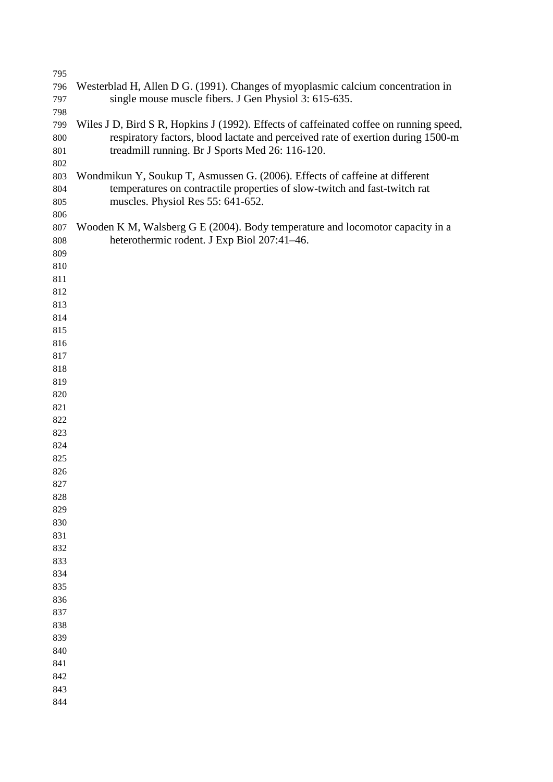| 795        |                                                                                        |
|------------|----------------------------------------------------------------------------------------|
| 796        | Westerblad H, Allen D G. (1991). Changes of myoplasmic calcium concentration in        |
| 797        | single mouse muscle fibers. J Gen Physiol 3: 615-635.                                  |
| 798        |                                                                                        |
| 799        | Wiles J D, Bird S R, Hopkins J (1992). Effects of caffeinated coffee on running speed, |
| 800        | respiratory factors, blood lactate and perceived rate of exertion during 1500-m        |
| 801        | treadmill running. Br J Sports Med 26: 116-120.                                        |
| 802        |                                                                                        |
| 803        | Wondmikun Y, Soukup T, Asmussen G. (2006). Effects of caffeine at different            |
| 804        | temperatures on contractile properties of slow-twitch and fast-twitch rat              |
| 805        | muscles. Physiol Res 55: 641-652.                                                      |
| 806        |                                                                                        |
| 807        | Wooden K M, Walsberg G E (2004). Body temperature and locomotor capacity in a          |
| 808        | heterothermic rodent. J Exp Biol 207:41-46.                                            |
| 809        |                                                                                        |
| 810        |                                                                                        |
| 811        |                                                                                        |
| 812        |                                                                                        |
| 813        |                                                                                        |
| 814        |                                                                                        |
| 815        |                                                                                        |
| 816        |                                                                                        |
| 817        |                                                                                        |
| 818        |                                                                                        |
| 819        |                                                                                        |
| 820<br>821 |                                                                                        |
| 822        |                                                                                        |
| 823        |                                                                                        |
| 824        |                                                                                        |
| 825        |                                                                                        |
| 826        |                                                                                        |
| 827        |                                                                                        |
| 828        |                                                                                        |
| 829        |                                                                                        |
| 830        |                                                                                        |
| 831        |                                                                                        |
| 832        |                                                                                        |
| 833        |                                                                                        |
| 834        |                                                                                        |
| 835        |                                                                                        |
| 836        |                                                                                        |
| 837        |                                                                                        |
| 838        |                                                                                        |
| 839        |                                                                                        |
| 840        |                                                                                        |
| 841        |                                                                                        |
| 842        |                                                                                        |
| 843        |                                                                                        |
| 844        |                                                                                        |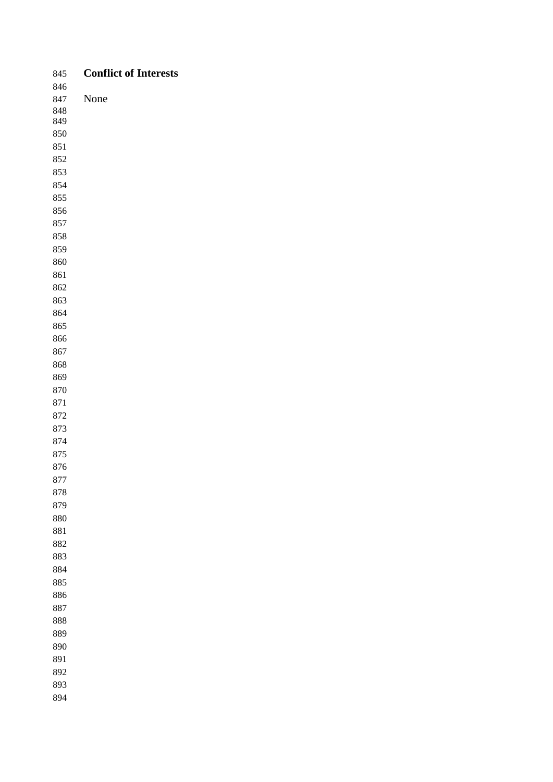| 845     | <b>Conflict of Interests</b> |
|---------|------------------------------|
| 846     |                              |
| 847     | None                         |
| 848     |                              |
| 849     |                              |
| 850     |                              |
| $851\,$ |                              |
| 852     |                              |
| 853     |                              |
| 854     |                              |
| 855     |                              |
| 856     |                              |
| 857     |                              |
| 858     |                              |
| 859     |                              |
| 860     |                              |
| 861     |                              |
| 862     |                              |
| 863     |                              |
| 864     |                              |
| 865     |                              |
| 866     |                              |
| 867     |                              |
| 868     |                              |
| 869     |                              |
| $870\,$ |                              |
| $871\,$ |                              |
| 872     |                              |
| 873     |                              |
| 874     |                              |
| 875     |                              |
| 876     |                              |
| 877     |                              |
| 878     |                              |
| 879     |                              |
| $880\,$ |                              |
| 881     |                              |
| 882     |                              |
| 883     |                              |
| 884     |                              |
| 885     |                              |
| 886     |                              |
| 887     |                              |
|         |                              |
| $888\,$ |                              |
| 889     |                              |
| 890     |                              |
| 891     |                              |
| 892     |                              |
| 893     |                              |
| 894     |                              |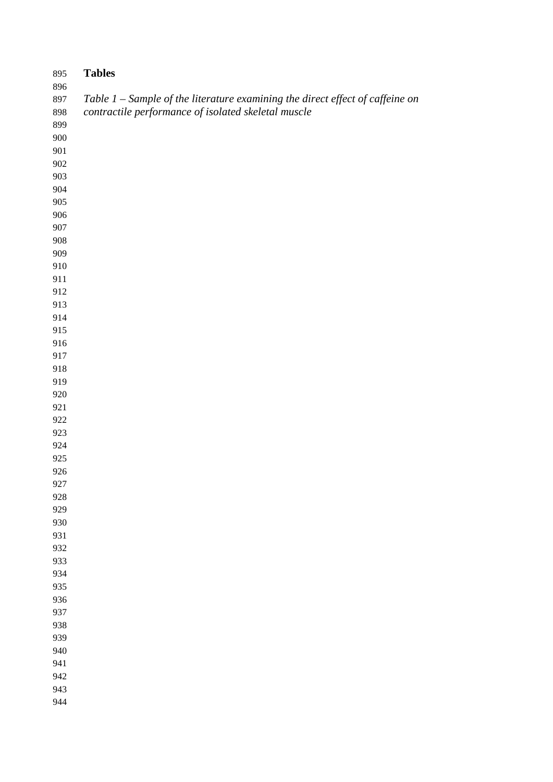| 895        | <b>Tables</b>                                                                 |
|------------|-------------------------------------------------------------------------------|
| 896        |                                                                               |
| 897        | Table 1 – Sample of the literature examining the direct effect of caffeine on |
| 898        | contractile performance of isolated skeletal muscle                           |
| 899<br>900 |                                                                               |
| 901        |                                                                               |
| 902        |                                                                               |
| 903        |                                                                               |
| 904        |                                                                               |
| 905        |                                                                               |
| 906        |                                                                               |
| 907        |                                                                               |
| 908        |                                                                               |
| 909        |                                                                               |
| 910        |                                                                               |
| 911        |                                                                               |
| 912        |                                                                               |
| 913        |                                                                               |
| 914        |                                                                               |
| 915        |                                                                               |
| 916        |                                                                               |
| 917        |                                                                               |
| 918        |                                                                               |
| 919        |                                                                               |
| 920        |                                                                               |
| 921<br>922 |                                                                               |
| 923        |                                                                               |
| 924        |                                                                               |
| 925        |                                                                               |
| 926        |                                                                               |
| 927        |                                                                               |
| 928        |                                                                               |
| 929        |                                                                               |
| 930        |                                                                               |
| 931        |                                                                               |
| 932        |                                                                               |
| 933        |                                                                               |
| 934        |                                                                               |
| 935        |                                                                               |
| 936        |                                                                               |
| 937        |                                                                               |
| 938        |                                                                               |
| 939        |                                                                               |
| 940        |                                                                               |
| 941        |                                                                               |
| 942<br>943 |                                                                               |
| 944        |                                                                               |
|            |                                                                               |